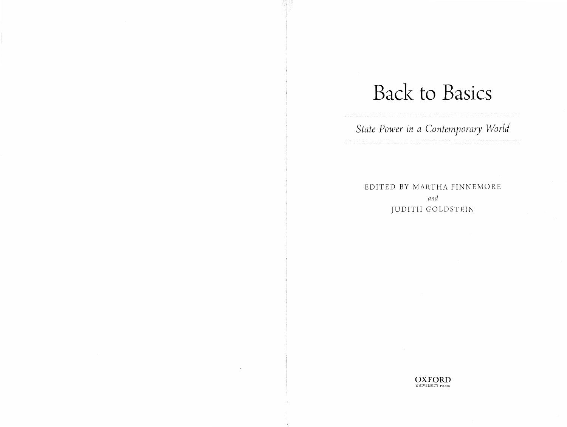# Back to Basics

*State Power in a Contemporary World* 

EDITED BY MARTHA FINNEMORE *and*  JUDITH GOLDSTEIN

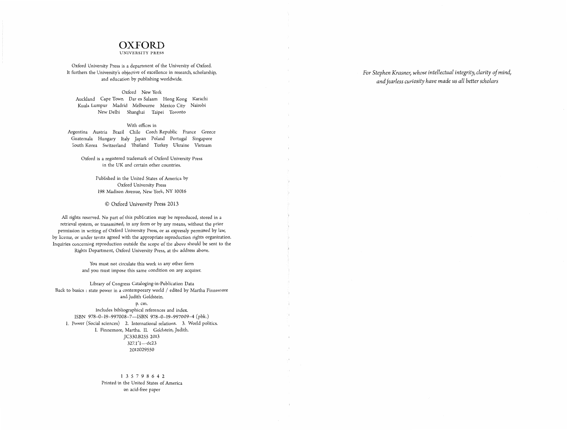# **OXFORD**

UNIVERSITY PRESS

Oxford University Press is a department of the University of Oxford. It furthers the University's objective of excellence in research, scholarship, and education by publishing worldwide.

Oxford New York

Aucldand Cape Town Dar es Salaam Hong Kong Karachi Kuala Lumpur Madrid Melbourne Mexico City Nairobi New Delhi Shanghai Taipei Toronto

#### With offices in

Argentina Austria Brazil Chile Czech Republic France Greece Guatemala Hungary Italy Japan Poland Portugal Singapore South Korea Switzerland Thailand Turkey Ukraine Vietnam

Oxford is a registered trademark of Oxford University Press in the UK and certain other countries.

> Published in the United States of America by Oxford University Press 198 Madison Avenue, New York, NY 10016

© Oxford University Press 2013

All rights reserved. No part of this publication may be reproduced, stored in a retrieval system, or transmitted, in any form or by any means, without the prior permission in writing of Oxford University Press, or as expressly permitted by law, by license, or under terms agreed with the appropriate reproduction rights organization. Inquiries concerning reproduction outside the scope of the above should be sent to the Rights Department, Oxford University Press, at the address above.

> You must not circulate this work in any other form and you must impose this same condition on any acquirer.

Library of Congress Cataloging-in-Publication Data Back to basics : state power in a contemporary world / edited by Martha Finnemore and Judith Goldstein. p. em. Includes bibliographical references and index. ISBN 978-0-19-997008-7--ISBN 978-0-19-997009-4 (pbk.) 1. Power (Social sciences) 2. International relations. 3. World politics. I. Finnemore, Martha. II. Goldstein, Judith. JC330.B255 2013 327.1'1-dc23

2012029550

1 3 5 7 9 8 6 4 2 Printed in the United States of America on acid-free paper

#### *For Stephen Krasner, whose intellectual integrity, clarity of mind, and fearless curiosity have made us all better scholars*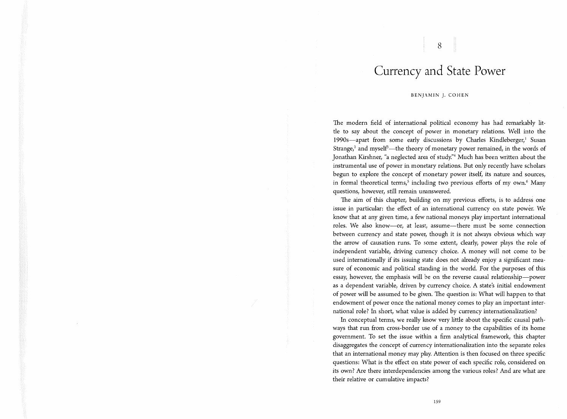# **Currency and State Power**

8

#### BENJAMIN J. COHEN

The modern field of international political economy has had remarkably little to say about the concept of power in monetary relations. Well into the 1990s-apart from some early discussions by Charles Kindleberger,<sup>1</sup> Susan Strange, $^2$  and myself<sup>3</sup>-the theory of monetary power remained, in the words of Jonathan Kirshner, "a neglected area of study."<sup>4</sup> Much has been written about the instrumental use of power in monetary relations. But only recently have scholars begun to explore the concept of monetary power itself, its nature and sources, in formal theoretical terms,<sup>5</sup> including two previous efforts of my own.<sup>6</sup> Many questions, however, still remain unanswered.

The aim of this chapter, building on my previous efforts, is to address one issue in particular: the effect of an international currency on state power. We know that at any given time, a few national moneys play important international roles. We also know---or, at least, assume----there must be some connection between currency and state power, though it is not always obvious which way the arrow of causation runs. To some extent, clearly, power plays the role of independent variable, driving currency choice. A money will not come to be used internationally if its issuing state does not already enjoy a significant measure of economic and political standing in the world. For the purposes of this essay, however, the emphasis will be on the reverse causal relationship-power as a dependent variable, driven by currency choice. A state's initial endowment of power will be assumed to be given. The question is: What will happen to that endowment of power once the national money comes to play an important international role? In short, what value is added by currency internationalization?

In conceptual terms, we really know very little about the specific causal pathways that run from cross-border use of a money to the capabilities of its home government. To set the issue within a firm analytical framework, this chapter disaggregates the concept of currency internationalization into the separate roles that an international money may play. Attention is then focused on three specific questions: What is the effect on state power of each specific role, considered on its own? Are there interdependencies among the various roles? And are what are their relative or cumulative impacts?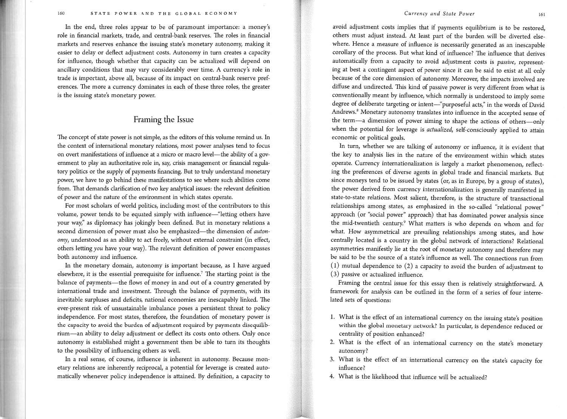In the end, three roles appear to be of paramount importance: a money's role in financial markets, trade, and central-bank reserves. The roles in financial markets and reserves enhance the issuing state's monetary autonomy, making it easier to delay or deflect adjustment costs. Autonomy in turn creates a capacity for influence, though whether that capacity can be actualized will depend on ancillary conditions that may vary considerably over time. A currency's role in trade is important, above all, because of its impact on central-bank reserve preferences. The more a currency dominates in each of these three roles, the greater is the issuing state's monetary power.

# Framing the Issue

The concept of state power is not simple, as the editors of this volume remind us. In the context of international monetary relations, most power analyses tend to focus on overt manifestations of influence at a micro or macro level--- the ability of a government to play an authoritative role in, say, crisis management or financial regulatory politics or the supply of payments financing. But to truly understand monetary power, we have to go behind these manifestations to see where such abilities come from. That demands clarification of two key analytical issues: the relevant definition of power and the nature of the environment in which states operate.

For most scholars of world politics, including most of the contributors to this volume, power tends to be equated simply with influence-"letting others have your way;' as diplomacy has jokingly been defined. But in monetary relations a second dimension of power must also be emphasized—the dimension of *autonomy,* understood as an ability to act freely, without external constraint (in effect, others letting *you* have your way). The relevant definition of power encompasses both autonomy and influence.

In the monetary domain, autonomy is important because, as I have argued elsewhere, it is the essential prerequisite for influence? The starting point is the balance of payments-the flows of money in and out of a country generated by international trade and investment. Through the balance of payments, with its inevitable surpluses and deficits, national economies are inescapably linked. The ever-present risk of unsustainable imbalance poses a persistent threat to policy independence. For most states, therefore, the foundation of monetary power is the capacity to avoid the burden of adjustment required by payments disequilibrium-an ability to delay adjustment or deflect its costs onto others. Only once autonomy is established might a government then be able to turn its thoughts to the possibility of influencing others as well.

In a real sense, of course, influence is inherent in autonomy. Because monetary relations are inherently reciprocal, a potential for leverage is created automatically whenever policy independence is attained. By definition, a capacity to

avoid adjustment costs implies that if payments equilibrium is to be restored, others must adjust instead. At least part of the burden will be diverted elsewhere. Hence a measure of influence is necessarily generated as an inescapable corollary of the process. But what kind of influence? The influence that derives automatically from a capacity to avoid adjustment costs is *passive,* representing at best a contingent aspect of power since it can be said to exist at all only because of the core dimension of autonomy. Moreover, the impacts involved are diffuse and undirected. This kind of passive power is very different from what is conventionally meant by influence, which normally is understood to imply some degree of deliberate targeting or intent-"purposeful acts," in the words of David Andrews.8 Monetary autonomy translates into influence in the accepted sense of the term-a dimension of power aiming to shape the actions of others-only when the potential for leverage is *actualized,* self-consciously applied to attain economic or political goals.

In turn, whether we are talking of autonomy or influence, it is evident that the key to analysis lies in the nature of the environment within which states operate. Currency internationalization is largely a market phenomenon, reflecting the preferences of diverse agents in global trade and financial markets. But since moneys tend to be issued by states (or, as in Europe, by a group of states), the power derived from currency internationalization is generally manifested in state-to-state relations. Most salient, therefore, is the structure of transactional relationships among states, as emphasized in the so-called "relational power" approach (or "social power" approach) that has dominated power analysis since the mid-twentieth century.<sup>9</sup> What matters is who depends on whom and for what. How asymmetrical are prevailing relationships among states, and how centrally located is a country in the global network of interactions? Relational asymmetries manifestly lie at the root of monetary autonomy and therefore may be said to be the source of a state's influence as well. The connections run from  $(1)$  mutual dependence to  $(2)$  a capacity to avoid the burden of adjustment to ( 3) passive or actualized influence.

Framing the central issue for this essay then is relatively straightforward. A framework for analysis can be outlined in the form of a series of four interrelated sets of questions:

- 1. What is the effect of an international currency on the issuing state's position within the global monetary network? In particular, is dependence reduced or centrality of position enhanced?
- 2. What is the effect of an international currency on the state's monetary autonomy?
- 3. What is the effect of an international currency on the state's capacity for influence?
- 4. What is the likelihood that influence will be actualized?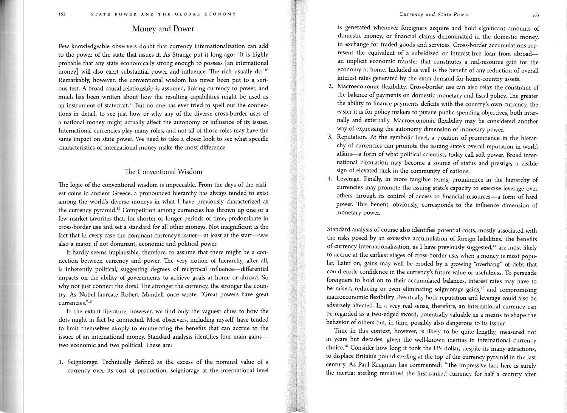# Money and Power

Few knowledgeable observers doubt that currency internationalization can add to the power of the state that issues it. As Strange put it long ago: "It is highly probable that any state economically strong enough to possess [an international money] will also exert substantial power and influence. The rich usually do."<sup>10</sup> Remarkably, however, the conventional wisdom has never been put to a serious test. A broad causal relationship is assumed, linking currency to power, and much has been written about how the resulting capabilities might be used as an instrument of statecraft.<sup>11</sup> But no one has ever tried to spell out the connections in detail, to see just how or why any of the diverse cross-border uses of a national money might actually affect the autonomy or influence of its issuer. International currencies play many roles, and not all of those roles may have the same impact on state power. We need to take a closer look to see what specific characteristics of international money make the most difference.

#### The Conventional Wisdom

The logic of the conventional wisdom is impeccable. From the days of the earliest coins in ancient Greece, a pronounced hierarchy has always tended to exist among the world's diverse moneys in what I have previously characterized as the currency pyramid.<sup>12</sup> Competition among currencies has thrown up one or a few market favorites that, for shorter or longer periods of time, predominate in cross-border use and set a standard for all other moneys. Not insignificant is the fact that in every case the dominant currency's issuer-at least at the start--was also a major, if not dominant, economic and political power.

It hardly seems implausible, therefore, to assume that there might be a connection between currency and power. The very notion of hierarchy, after all, is inherently political, suggesting degrees of reciprocal influence-differential impacts on the ability of governments to achieve goals at home or abroad. So why not just connect the dots? The stronger the currency, the stronger the country. As Nobel laureate Robert Mundell once wrote, "Great powers have great currencies."13

In the extant literature, however, we find only the vaguest clues to how the dots might in fact be connected. Most observers, including myself, have tended to limit themselves simply to enumerating the benefits that can accrue to the issuer of an international money. Standard analysis identifies four main gainstwo economic and two political. These are:

1. Seigniorage. Technically defined as the excess of the nominal value of a currency over its cost of production, seigniorage at the international level

is generated whenever foreigners acquire and hold significant amounts of domestic money, or financial claims denominated in the domestic money, in exchange for traded goods and services. Cross-border accumulations represent the equivalent of a subsidized or interest-free loan from abroadan implicit economic transfer that constitutes a real-resource gain for the economy at home. Included as well is the benefit of any reduction of overall interest rates generated by the extra demand for home-country assets.

- 2. Macroeconomic flexibility. Cross-border use can also relax the constraint of the balance of payments on domestic monetary and fiscal policy. The greater the ability to finance payments deficits with the country's own currency, the easier it is for policy makers to pursue public spending objectives, both internally and externally. Macroeconomic flexibility may be considered another way of expressing the autonomy dimension of monetary power.
- 3. Reputation. At the symbolic level, a position of prominence in the hierarchy of currencies can promote the issuing state's overall reputation in world affairs-a form of what political scientists today call soft power. Broad international circulation may become a source of status and prestige, a visible sign of elevated rank in the community of nations.
- 4. Leverage. Finally, in more tangible terms, prominence in the hierarchy of currencies may promote the issuing state's capacity to exercise leverage over others through its control of access to financial resources-a form of hard power. This benefit, obviously, corresponds to the influence dimension of monetary power.

Standard analysis of course also identifies potential costs, mostly associated with the risks posed by an excessive accumulation of foreign liabilities. The benefits of currency internationalization, as I have previously suggested,<sup>14</sup> are most likely to accrue at the earliest stages of cross-border use, when a money is most popular. Later on, gains may well be eroded by a growing "overhang" of debt that could erode confidence in the currency's future value or usefulness. To persuade foreigners to hold on to their accumulated balances, interest rates may have to be raised, reducing or even eliminating seigniorage gains,<sup>15</sup> and compromising macroeconomic flexibility. Eventually both reputation and leverage could also be adversely affected. In a very real sense, therefore, an international currency can be regarded as a two-edged sword, potentially valuable as a means to shape the behavior of others but, in time, possibly also dangerous to its issuer.

Time in this context, however, is likely to be quite lengthy, measured not in years but decades, given the well-known inertias in international currency choice. 16 Consider how long it took the US dollar, despite its many attractions, to displace Britain's pound sterling at the top of the currency pyramid in the last century. As Paul Krugman has commented: "The impressive fact here is surely the inertia; sterling remained the first-ranked currency for half a century after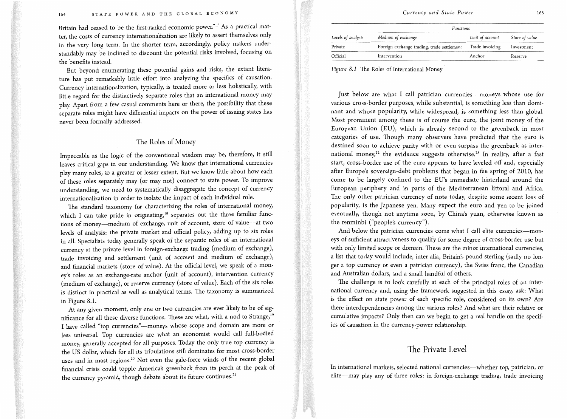Britain had ceased to be the first-ranked economic power."<sup>17</sup> As a practical matter, the costs of currency internationalization are likely to assert themselves only in the very long term. In the shorter term, accordingly, policy makers understandably may be inclined to discount the potential risks involved, focusing on the benefits instead.

But beyond enumerating these potential gains and risks, the extant literature has put remarkably little effort into analyzing the specifics of causation. Currency internationalization, typically, is treated more or less holistically, with little regard for the distinctively separate roles that an international money may play. Apart from a few casual comments here or there, the possibility that these separate roles might have differential impacts on the power of issuing states has never been formally addressed.

#### The Roles of Money

Impeccable as the logic of the conventional wisdom may be, therefore, it still leaves critical gaps in our understanding. We know that international currencies play many roles, to a greater or lesser extent. But we know little about how each of these roles separately may (or may not) connect to state power. To improve understanding, we need to systematically disaggregate the concept of currency internationalization in order to isolate the impact of each individual role.

The standard taxonomy for characterizing the roles of international money, which I can take pride in originating,<sup>18</sup> separates out the three familiar functions of money-medium of exchange, unit of account, store of value-at two levels of analysis: the private market and official policy, adding up to six roles in all. Specialists today generally speak of the separate roles of an international currency at the private level in foreign-exchange trading (medium of exchange), trade invoicing and settlement (unit of account and medium of exchange), and financial markets (store of value). At the official level, we speak of a money's roles as an exchange-rate anchor (unit of account), intervention currency (medium of exchange), or reserve currency (store of value). Each of the six roles is distinct in practical as well as analytical terms. The taxonomy is summarized in Figure 8.1.

At any given moment, only one or two currencies are ever likely to be of significance for all these diverse functions. These are what, with a nod to Strange,  $^{19}$ I have called "top currencies"-moneys whose scope and domain are more or less universal. Top currencies are what an economist would call full-bodied money, generally accepted for all purposes. Today the only true top currency is the US dollar, which for all its tribulations still dominates for most cross-border uses and in most regions.20 Not even the gale-force winds of the recent global financial crisis could topple America's greenback from its perch at the peak of the currency pyramid, though debate about its future continues.<sup>21</sup>

*Currency and State Power* <sup>165</sup>

|                    | Functions                                  |                 |                |
|--------------------|--------------------------------------------|-----------------|----------------|
| Levels of analysis | Medium of exchange                         | Unit of account | Store of value |
| Private            | Foreign exchange trading, trade settlement | Trade invoicing | Investment     |
| Official           | Intervention                               | Anchor          | Reserve        |

*Figure 8.1* The Roles of International Money

Just below are what I call patrician currencies-moneys whose use for various cross-border purposes, while substantial, is something less than dominant and whose popularity, while widespread, is something less than global. Most prominent among these is of course the euro, the joint money of the European Union (EU), which is already second to the greenback in most categories of use. Though many observers have predicted that the euro is destined soon to achieve parity with or even surpass the greenback as international money, $22$  the evidence suggests otherwise. $23$  In reality, after a fast start, cross-border use of the euro appears to have leveled off and, especially after Europe's sovereign-debt problems that began in the spring of 2010, has come to be largely confined to the EU's immediate hinterland around the European periphery and in parts of the Mediterranean littoral and Africa. The only other patrician currency of note today, despite some recent loss of popularity, is the Japanese yen. Many expect the euro and yen to be joined eventually, though not anytime soon, by China's yuan, otherwise known as the renminbi ("people's currency").

And below the patrician currencies come what I call elite currencies---moneys of sufficient attractiveness to qualify for some degree of cross-border use but with only limited scope or domain. These are the minor international currencies, a list that today would include, inter alia, Britain's pound sterling (sadly no longer a top currency or even a patrician currency), the Swiss franc, the Canadian and Australian dollars, and a small handful of others.

The challenge is to look carefully at each of the principal roles of an international currency and, using the framework suggested in this essay, ask: What is the effect on state power of each specific role, considered on its own? Are there interdependencies among the various roles? And what are their relative or cumulative impacts? Only then can we begin to get a real handle on the specifics of causation in the currency-power relationship.

# The Private Level

In international markets, selected national currencies-whether top, patrician, or elite-may play any of three roles: in foreign-exchange trading, trade invoicing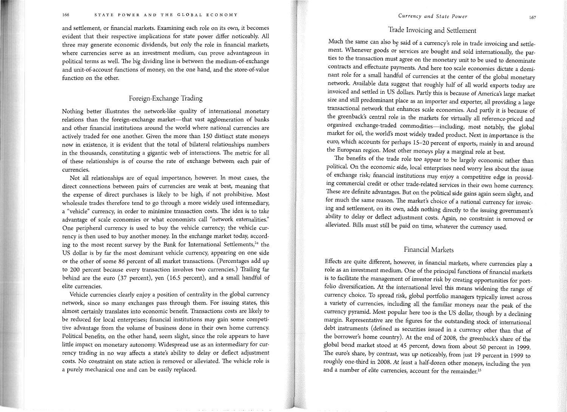and settlement, or financial markets. Examining each role on its own, it becomes evident that their respective implications for state power differ noticeably. All three may generate economic dividends, but only the role in financial markets, where currencies serve as an investment medium, can prove advantageous in political terms as well. The big dividing line is between the medium -of-exchange and unit-of-account functions of money, on the one hand, and the store-of-value function on the other.

### Foreign-Exchange Trading

Nothing better illustrates the network-like quality of international monetary relations than the foreign-exchange market-that vast agglomeration of banks and other financial institutions around the world where national currencies are actively traded for one another. Given the more than 1 SO distinct state moneys now in existence, it is evident that the total of bilateral relationships numbers in the thousands, constituting a gigantic web of interactions. The metric for all of these relationships is of course the rate of exchange between each pair of currencies.

Not all relationships are of equal importance, however. In most cases, the direct connections between pairs of currencies are weak at best, meaning that the expense of direct purchases is likely to be high, if not prohibitive. Most wholesale trades therefore tend to go through a more widely used intermediary, <sup>a</sup>"vehicle" currency, in order to minimize transaction costs. The idea is to take advantage of scale economies or what economists call "network externalities:' One peripheral currency is used to buy the vehicle currencyj the vehicle currency is then used to buy another money. In the exchange market today, according to the most recent survey by the Bank for International Settlements,<sup>24</sup> the US dollar is by far the most dominant vehicle currency, appearing on one side or the other of some 86 percent of all market transactions. (Percentages add up to 200 percent because every transaction involves two currencies.) Trailing far behind are the euro (37 percent), yen (16.S percent), and a small handful of elite currencies.

Vehicle currencies clearly enjoy a position of centrality in the global currency network, since so many exchanges pass through them. For issuing states, this almost certainly translates into economic benefit. Transactions costs are likely to be reduced for local enterprises; financial institutions may gain some competitive advantage from the volume of business done in their own home currency. Political benefits, on the other hand, seem slight, since the role appears to have little impact on monetary autonomy. Widespread use as an intermediary for currency trading in no way affects a state's ability to delay or deflect adjustment costs. No constraint on state action is removed or alleviated. The vehicle role is a purely mechanical one and can be easily replaced.

#### Trade Invoicing and Settlement

Much the same can also be said of a currency's role in trade invoicing and settlement. Whenever goods or services are bought and sold internationally, the parties to the transaction must agree on the monetary unit to be used to denominate contracts and effectuate payments. And here too scale economies dictate a dominant role for a small handful of currencies at the center of the global monetary network. Available data suggest that roughly half of all world exports today are invoiced and settled in US dollars. Partly this is because of America's large market size and still predominant place as an importer and exporter, all providing a large transactional network that enhances scale economies. And partly it is because of the greenback's central role in the markets for virtually all reference-priced and organized exchange-traded commodities-including, most notably, the global market for oil, the world's most widely traded product. Next in importance is the euro, which accounts for perhaps 1S-20 percent of exports, mainly in and around the European region. Most other moneys play a marginal role at best.

The benefits of the trade role too appear to be largely economic rather than political. On the economic side, local enterprises need worry less about the issue of exchange riskj financial institutions may enjoy a competitive edge in providing commercial credit or other trade-related services in their own home currency. These are definite advantages. But on the political side gains again seem slight, and for much the same reason. The market's choice of a national currency for invoicing and settlement, on its own, adds nothing directly to the issuing government's ability to delay or deflect adjustment costs. Again, no constraint is removed or alleviated. Bills must still be paid on time, whatever the currency used.

#### Financial Markets

Effects are quite different, however, in financial markets, where currencies play a role as an investment medium. One of the principal functions of financial markets is to facilitate the management of investor risk by creating opportunities for portfolio diversification. At the international level this means widening the range of currency choice. To spread risk, global portfolio managers typically invest across a variety of currencies, including all the familiar moneys near the peak of the currency pyramid. Most popular here too is the US dollar, though by a declining margin. Representative are the figures for the outstanding stock of international debt instruments (defined as securities issued in a currency other than that of the borrower's home country). At the end of 2008, the greenback's share of the global bond market stood at 4S percent, down from about SO percent in 1999. The euro's share, by contrast, was up noticeably, from just 19 percent in 1999 to roughly one-third in 2008. At least a half-dozen other moneys, including the yen and a number of elite currencies, account for the remainder.<sup>25</sup>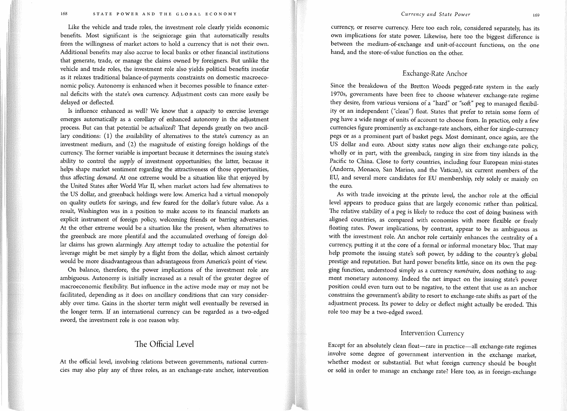Like the vehicle and trade roles, the investment role clearly yields economic benefits. Most significant is the seigniorage gain that automatically results from the willingness of market actors to hold a currency that is not their own. Additional benefits may also accrue to local banks or other financial institutions that generate, trade, or manage the claims owned by foreigners. But unlike the vehicle and trade roles, the investment role also yields political benefits insofar as it relaxes traditional balance-of-payments constraints on domestic macroeconomic policy. Autonomy is enhanced when it becomes possible to finance external deficits with the state's own currency. Adjustment costs can more easily be delayed or deflected.

Is influence enhanced as well? We know that a *capacity* to exercise leverage emerges automatically as a corollary of enhanced autonomy in the adjustment process. But can that potential be *actualized?* That depends greatly on two ancillary conditions: (1) the availability of alternatives to the state's currency as an investment medium, and  $(2)$  the magnitude of existing foreign holdings of the currency. The former variable is important because it determines the issuing state's ability to control the *supply* of investment opportunities; the latter, because it helps shape market sentiment regarding the attractiveness of those opportunities, thus affecting *demand.* At one extreme would be a situation like that enjoyed by the United States after World War II, when market actors had few alternatives to the US dollar, and greenback holdings were low. America had a virtual monopoly on quality outlets for savings, and few feared for the dollar's future value. As a result, Washington was in a position to make access to its financial markets an explicit instrument of foreign policy, welcoming friends or barring adversaries. At the other extreme would be a situation like the present, when alternatives to the greenback are more plentiful and the accumulated overhang of foreign dollar claims has grown alarmingly. Any attempt today to actualize the potential for leverage might be met simply by a flight from the dollar, which almost certainly would be more disadvantageous than advantageous from America's point of view.

On balance, therefore, the power implications of the investment role are ambiguous. Autonomy is initially increased as a result of the greater degree of macroeconomic flexibility. But influence in the active mode may or may not be facilitated, depending as it does on ancillary conditions that can vary considerably over time. Gains in the shorter term might well eventually be reversed in the longer term. If an international currency can be regarded as a two-edged sword, the investment role is one reason why.

## **The Official** Level

At the official level, involving relations between governments, national currencies may also play any of three roles, as an exchange-rate anchor, intervention

currency, or reserve currency. Here too each role, considered separately, has its own implications for state power. Likewise, here too the biggest difference is between the medium-of-exchange and unit-of-account functions, on the one hand, and the store-of-value function on the other.

### Exchange-Rate Anchor

Since the breakdown of the Bretton Woods pegged-rate system in the early 1970s, governments have been free to choose whatever exchange-rate regime they desire, from various versions of a "hard" or "soft" peg to managed flexibility or an independent ("clean") float. States that prefer to retain some form of peg have a wide range of units of account to choose from. In practice, only a few currencies figure prominently as exchange-rate anchors, either for single-currency pegs or as a prominent part of basket pegs. Most dominant, once again, are the US dollar and euro. About sixty states now align their exchange-rate policy, wholly or in part, with the greenback, ranging in size from tiny islands in the Pacific to China. Close to forty countries, including four European mini-states (Andorra, Monaco, San Marino, and the Vatican), six current members of the EU, and several more candidates for EU membership, rely solely or mainly on the euro.

As with trade invoicing at the private level, the anchor role at the official level appears to produce gains that are largely economic rather than political. The relative stability of a peg is likely to reduce the cost of doing business with aligned countries, as compared with economies with more flexible or freely floating rates. Power implications, by contrast, appear to be as ambiguous as with the investment role. An anchor role certainly enhances the centrality of a currency, putting it at the core of a formal or informal monetary bloc. That may help promote the issuing state's soft power, by adding to the country's global prestige and reputation. But hard power benefits little, since on its own the pegging function, understood simply as a currency *numeraire,* does nothing to augment monetary autonomy. Indeed the net impact on the issuing state's power position could even turn out to be negative, to the extent that use as an anchor constrains the government's ability to resort to exchange-rate shifts as part of the adjustment process. Its power to delay or deflect might actually be eroded. This role too may be a two-edged sword.

#### Intervention Currency

Except for an absolutely clean float-rare in practice-all exchange-rate regimes involve some degree of government intervention in the exchange market, whether modest or substantial. But what foreign currency should be bought or sold in order to manage an exchange rate? Here too, as in foreign-exchange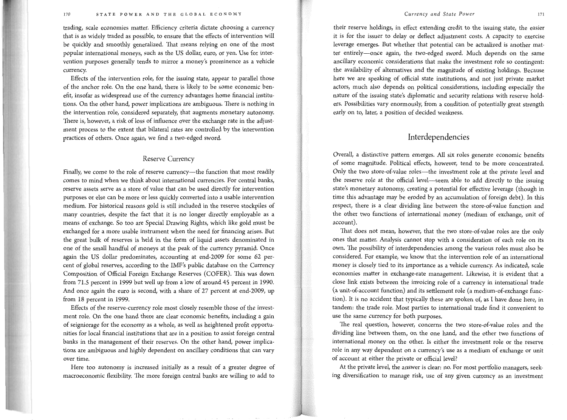trading, scale economies matter. Efficiency criteria dictate choosing a currency that is as widely traded as possible, to ensure that the effects of intervention will be quickly and smoothly generalized. That means relying on one of the most popular international moneys, such as the US dollar, euro, or yen. Use for intervention purposes generally tends to mirror a money's prominence as a vehicle currency.

Effects of the intervention role, for the issuing state, appear to parallel those of the anchor role. On the one hand, there is likely to be some economic benefit, insofar as widespread use of the currency advantages home financial institutions. On the other hand, power implications are ambiguous. There is nothing in the intervention role, considered separately, that augments monetary autonomy. There is, however, a risk of loss of influence over the exchange rate in the adjustment process to the extent that bilateral rates are controlled by the intervention practices of others. Once again, we find a two-edged sword.

#### Reserve Currency

Finally, we come to the role of reserve currency—the function that most readily comes to mind when we think about international currencies. For central banks, reserve assets serve as a store of value that can be used directly for intervention purposes or else can be more or less quickly converted into a usable intervention medium. For historical reasons gold is still included in the reserve stockpiles of many countries, despite the fact that it is no longer directly employable as a means of exchange. So too are Special Drawing Rights, which like gold must be exchanged for a more usable instrument when the need for financing arises. But the great bulk of reserves is held in the form of liquid assets denominated in one of the small handful of moneys at the peak of the currency pyramid. Once again the US dollar predominates, accounting at end-2009 for some 62 percent of global reserves, according to the IMF's public database on the Currency Composition of Official Foreign Exchange Reserves (COFER). This was down from 71.5 percent in 1999 but well up from a low of around 45 percent in 1990. And once again the euro is second, with a share of 27 percent at end-2009, up from 18 percent in 1999.

Effects of the reserve-currency role most closely resemble those of the investment role. On the one hand there are dear economic benefits, including a gain of seigniorage for the economy as a whole, as well as heightened profit opportunities for local financial institutions that are in a position to assist foreign central banks in the management of their reserves. On the other hand, power implications are ambiguous and highly dependent on ancillary conditions that can vary over time.

Here too autonomy is increased initially as a result of a greater degree of macroeconomic flexibility. The more foreign central banks are willing to add to

their reserve holdings, in effect extending credit to the issuing state, the easier it is for the issuer to delay or deflect adjustment costs. A capacity to exercise leverage emerges. But whether that potential can be actualized is another matter entirely-once again, the two-edged sword. Much depends on the same ancillary economic considerations that make the investment role so contingent: the availability of alternatives and the magnitude of existing holdings. Because here we are speaking of official state institutions, and not just private market actors, much also depends on political considerations, including especially the nature of the issuing state's diplomatic and security relations with reserve holders. Possibilities vary enormously, from a condition of potentially great strength early on to, later, a position of decided weakness.

# Interdependencies

Overall, a distinctive pattern emerges. All six roles generate economic benefits of some magnitude. Political effects, however, tend to be more concentrated. Only the two store-of-value roles-the investment role at the private level and the reserve role at the official level-seem able to add directly to the issuing state's monetary autonomy, creating a potential for effective leverage (though in time this advantage may be eroded by an accumulation of foreign debt). In this respect, there is a clear dividing line between the store-of-value function and the other two functions of international money (medium of exchange, unit of account).

That does not mean, however, that the two store-of-value roles are the only ones that matter. Analysis cannot stop with a consideration of each role on its own. The possibility of interdependencies among the various roles must also be considered. For example, we know that the intervention role of an international money is closely tied to its importance as a vehicle currency. As indicated, scale economies matter in exchange-rate management. Likewise, it is evident that a close link exists between the invoicing role of a currency in international trade (a unit-of-account function) and its settlement role (a medium-of-exchange function). It is no accident that typically these are spoken of, as I have done here, in tandem: the trade role. Most parties to international trade find it convenient to use the same currency for both purposes.

The real question, however, concerns the two store-of-value roles and the dividing line between them, on the one hand, and the other two functions of international money on the other. Is either the investment role or the reserve role in any way dependent on a currency's use as a medium of exchange or unit of account at either the private or official level?

At the private level, the answer is dear: no. For most portfolio managers, seeking diversification to manage risk, use of any given currency as an investment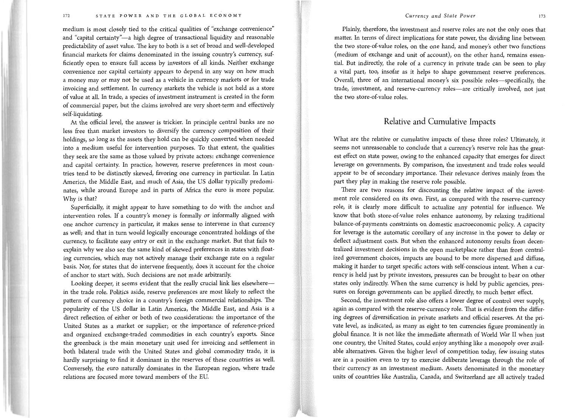medium is most closely tied to the critical qualities of "exchange convenience" and "capital certainty"-a high degree of transactional liquidity and reasonable predictability of asset value. The key to both is a set of broad and well-developed financial markets for claims denominated in the issuing country's currency, sufficiently open to ensure full access by investors of all kinds. Neither exchange convenience nor capital certainty appears to depend in any way on how much a money may or may not be used as a vehicle in currency markets or for trade invoicing and settlement. In currency markets the vehicle is not held as a store of value at all. In trade, a species of investment instrument is created in the form of commercial paper, but the claims involved are very short-term and effectively self-liquidating.

At the official level, the answer is trickier. In principle central banks are no less free than market investors to diversify the currency composition of their holdings, so long as the assets they hold can be quickly converted when needed into a medium useful for intervention purposes. To that extent, the qualities they seek are the same as those valued by private actors: exchange convenience and capital certainty. In practice, however, reserve preferences in most countries tend to be distinctly skewed, favoring one currency in particular. In Latin America, the Middle East, and much of Asia, the US dollar typically predominates, while around Europe and in parts of Africa the euro is more popular. Why is that?

Superficially, it might appear to have something to do with the anchor and intervention roles. If a country's money is formally or informally aligned with one anchor currency in particular, it makes sense to intervene in that currency as wellj and that in turn would logically encourage concentrated holdings of the currency, to facilitate easy entry or exit in the exchange market. But that fails to explain why we also see the same kind of skewed preferences in states with floating currencies, which may not actively manage their exchange rate on a regular basis. Nor, for states that do intervene frequently, does it account for the choice of anchor to start with. Such decisions are not made arbitrarily.

Looking deeper, it seems evident that the really crucial link lies elsewherein the trade role. Politics aside, reserve preferences are most likely to reflect the pattern of currency choice in a country's foreign commercial relationships. The popularity of the US dollar in Latin America, the Middle East, and Asia is a direct reflection of either or both of two considerations: the importance of the United States as a market or supplier; or the importance of reference-priced and organized exchange-traded commodities in each country's exports. Since the greenback is the main monetary unit used for invoicing and settlement in both bilateral trade with the United States and global commodity trade, it is hardly surprising to find it dominant in the reserves of these countries as well. Conversely, the euro naturally dominates in the European region, where trade relations are focused more toward members of the EU.

Plainly, therefore, the investment and reserve roles are not the only ones that matter. In terms of direct implications for state power, the dividing line between the two store-of-value roles, on the one hand, and money's other two functions (medium of exchange and unit of account), on the other hand, remains essential. But indirectly, the role of a currency in private trade can be seen to play a vital part, too, insofar as it helps to shape government reserve preferences. Overall, three of an international money's six possible roles-specifically, the trade, investment, and reserve-currency roles-are critically involved, not just the two store-of-value roles.

## **Relative and Cumulative Impacts**

What are the relative or cumulative impacts of these three roles? Ultimately, it seems not unreasonable to conclude that a currency's reserve role has the greatest effect on state power, owing to the enhanced capacity that emerges for direct leverage on governments. By comparison, the investment and trade roles would appear to be of secondary importance. Their relevance derives mainly from the part they play in making the reserve role possible.

There are two reasons for discounting the relative impact of the investment role considered on its own. First, as compared with the reserve-currency role, it is clearly more difficult to actualize any potential for influence. We know that both store-of-value roles enhance autonomy, by relaxing traditional balance-of-payments constraints on domestic macroeconomic policy. A capacity for leverage is the automatic corollary of any increase in the power to delay or deflect adjustment costs. But when the enhanced autonomy results from decentralized investment decisions in the open marketplace rather than from centralized government choices, impacts are bound to be more dispersed and diffuse, making it harder to target specific actors with self-conscious intent. When a currency is held just by private investors, pressures can be brought to bear on other states only indirectly. When the same currency is held by public agencies, pressures on foreign governments can be applied directly, to much better effect.

Second, the investment role also offers a lower degree of control over supply, again as compared with the reserve-currency role. That is evident from the differing degrees of diversification in private markets and official reserves. At the private level, as indicated, as many as eight to ten currencies figure prominently in global finance. It is not. like the immediate aftermath of World War II when just one country, the United States, could enjoy anything like a monopoly over available alternatives. Given the higher level of competition today, few issuing states are in a position even to try to exercise deliberate leverage through the role of their currency as an investment medium. Assets denominated in the monetary units of countries like Australia, Canada, and Switzerland are all actively traded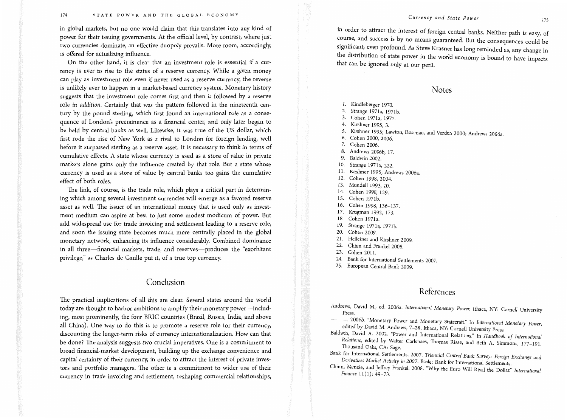in global markets, but no one would claim that this translates into any kind of power for their issuing governments. At the official level, by contrast, where just two currencies dominate, an effective duopoly prevails. More room, accordingly, is offered for actualizing influence.

On the other hand, it is clear that an investment role is essential if a currency is ever to rise to the status of a reserve currency. While a given money can play an investment role even if never used as a reserve currency, the reverse is unlikely ever to happen in a market-based currency system. Monetary history suggests that the investment role comes first and then is followed by a reserve role *in addition.* Certainly that was the pattern followed in the nineteenth century by the pound sterling, which first found an international role as a consequence of London's preeminence as a financial center, and only later began to be held by central banks as well. Likewise, it was true of the US dollar, which first rode the rise of New York as a rival to London for foreign lending, well before it surpassed sterling as a reserve asset. It is necessary to think in terms of cumulative effects. A state whose currency is used as a store of value in private markets alone gains only the influence created by that role. But a state whose currency is used as a store of value by central banks too gains the cumulative effect of both roles.

The link, of course, is the trade role, which plays a critical part in determining which among several investment currencies will emerge as a favored reserve asset as well. The issuer of an international money that is used only as investment medium can aspire at best to just some modest modicum of power. But add widespread use for trade invoicing and settlement leading to a reserve role, and soon the issuing state becomes much more centrally placed in the global monetary network, enhancing its influence considerably. Combined dominance in all three—financial markets, trade, and reserves—produces the "exorbitant privilege," as Charles de Gaulle put it, of a true top currency.

## Conclusion

The practical implications of all this are clear. Several states around the world today are thought to harbor ambitions to amplify their monetary power--including, most prominently, the four BRIC countries (Brazil, Russia, India, and above all China). One way to do this is to promote a reserve role for their currency, discounting the longer-term risks of currency internationalization. How can that be done? The analysis suggests two crucial imperatives. One is a commitment to broad financial-market development, building up the exchange convenience and capital certainty of their currency, in order to attract the interest of private investors and portfolio managers. The other is a commitment to wider use of their currency in trade invoicing and settlement, reshaping commercial relationships,

in order to attract the interest of foreign central banks. Neither path is easy, of course, and success is by no means guaranteed. But the consequences could be significant, even profound. As Steve Krasner has long reminded us, any change in the distribution of state power in the world economy is bound to have impacts that can be ignored only at our peril.

#### Notes

- 1. Kindleberger 1970.
- 2. Strange 1971a, 1971b.
- 3. Cohen 1971a, 1977.
- 4. Kirshner 1995, 3.
- 5. Kirshner 1995; Lawton, Rosenau, and Verdun 2000; Andrews 2006a.
- 6. Cohen 2000, 2006.
- 7. Cohen 2006.
- 8. Andrews 2006b, 17.
- 9. Baldwin 2002.
- 10. Strange 1971a, 222.
- 11. Kirshner 1995; Andrews 2006a.
- 12. Cohen 1998, 2004.
- 13. Mundell 1993, 10.
- 14. Cohen 1998, 129.
- 15. Cohen 1971b.
- 16. Cohen 1998, 136-137.
- 17. Krugman 1992, 173.
- 18. Cohen 1971a.
- 19. Strange 1971a, 1971b.
- 20. Cohen 2009.
- 21. Helleiner and Kirshner 2009.
- 22. Chinn and Frankel 2008.
- 23. Cohen 2011.
- 24. Bank for International Settlements 2007.
- 25. European Central Bank 2009.

### References

- Andrews, David M., ed. 2006a. *International Monetary Power*. Ithaca, NY: Cornell University Press.
- 2006b. "Monetary Power and Monetary Statecraft." In *International Monetary Power*, edited by David M. Andrews, 7-28. Ithaca, NY: Cornell University Press.
- Baldwin, David A. 2002. "Power and International Relations." In *Handbook of International Relations*, edited by Walter Carlsnaes, Thomas Risse, and Beth A. Simmons, 177-191. Thousand Oaks, CA: Sage.
- Bank for International Settlements. 2007. *Triennial Central Bank Survey: Foreign Exchange and Derivatives Market Activity in 2007.* Basle: Bank for International Settlements.
- Chinn, Menzie, and Jeffrey Frankel. 2008. "Why the Euro Will Rival the Dollar." *International Finance* 11(1): 49–73.